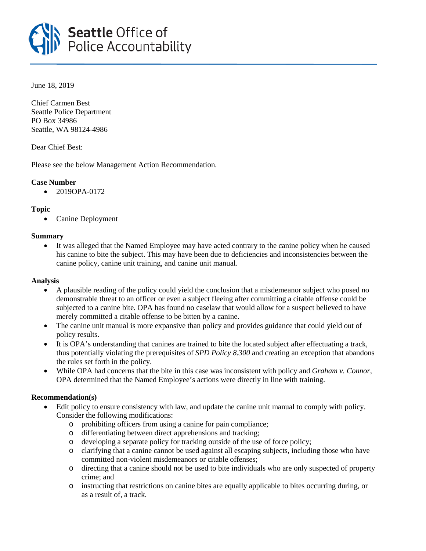

June 18, 2019

Chief Carmen Best Seattle Police Department PO Box 34986 Seattle, WA 98124-4986

Dear Chief Best:

Please see the below Management Action Recommendation.

# **Case Number**

 $• 2019OPA-0172$ 

# **Topic**

• Canine Deployment

# **Summary**

• It was alleged that the Named Employee may have acted contrary to the canine policy when he caused his canine to bite the subject. This may have been due to deficiencies and inconsistencies between the canine policy, canine unit training, and canine unit manual.

## **Analysis**

- A plausible reading of the policy could yield the conclusion that a misdemeanor subject who posed no demonstrable threat to an officer or even a subject fleeing after committing a citable offense could be subjected to a canine bite. OPA has found no caselaw that would allow for a suspect believed to have merely committed a citable offense to be bitten by a canine.
- The canine unit manual is more expansive than policy and provides guidance that could yield out of policy results.
- It is OPA's understanding that canines are trained to bite the located subject after effectuating a track, thus potentially violating the prerequisites of *SPD Policy 8.300* and creating an exception that abandons the rules set forth in the policy.
- While OPA had concerns that the bite in this case was inconsistent with policy and *Graham v. Connor*, OPA determined that the Named Employee's actions were directly in line with training.

## **Recommendation(s)**

- Edit policy to ensure consistency with law, and update the canine unit manual to comply with policy. Consider the following modifications:
	- o prohibiting officers from using a canine for pain compliance;
	- o differentiating between direct apprehensions and tracking;
	- o developing a separate policy for tracking outside of the use of force policy;
	- o clarifying that a canine cannot be used against all escaping subjects, including those who have committed non-violent misdemeanors or citable offenses;
	- o directing that a canine should not be used to bite individuals who are only suspected of property crime; and
	- o instructing that restrictions on canine bites are equally applicable to bites occurring during, or as a result of, a track.